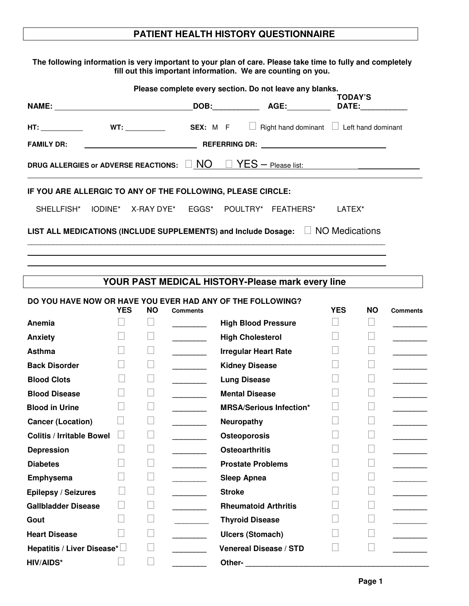## **PATIENT HEALTH HISTORY QUESTIONNAIRE**

**The following information is very important to your plan of care. Please take time to fully and completely fill out this important information. We are counting on you.**

| Please complete every section. Do not leave any blanks.                              |  |  |  |  |                                                               |                                                                                                                                                                                                                                                                                                                                                                                                                               |  |  |
|--------------------------------------------------------------------------------------|--|--|--|--|---------------------------------------------------------------|-------------------------------------------------------------------------------------------------------------------------------------------------------------------------------------------------------------------------------------------------------------------------------------------------------------------------------------------------------------------------------------------------------------------------------|--|--|
|                                                                                      |  |  |  |  | <b>TODAY'S</b>                                                |                                                                                                                                                                                                                                                                                                                                                                                                                               |  |  |
|                                                                                      |  |  |  |  |                                                               | HT: $\frac{1}{\sqrt{1-\frac{1}{\sqrt{1-\frac{1}{\sqrt{1-\frac{1}{\sqrt{1-\frac{1}{\sqrt{1-\frac{1}{\sqrt{1-\frac{1}{\sqrt{1-\frac{1}{\sqrt{1-\frac{1}{\sqrt{1-\frac{1}{\sqrt{1-\frac{1}{\sqrt{1-\frac{1}{\sqrt{1-\frac{1}{\sqrt{1-\frac{1}{\sqrt{1-\frac{1}{\sqrt{1-\frac{1}{\sqrt{1-\frac{1}{\sqrt{1-\frac{1}{\sqrt{1-\frac{1}{\sqrt{1-\frac{1}{\sqrt{1-\frac{1}{\sqrt{1-\frac{1}{\sqrt{1-\frac{1}{\sqrt{1-\frac{1}{\sqrt{1$ |  |  |
| <b>FAMILY DR:</b>                                                                    |  |  |  |  |                                                               |                                                                                                                                                                                                                                                                                                                                                                                                                               |  |  |
| DRUG ALLERGIES or ADVERSE REACTIONS: $\Box$ NO $\Box$ YES - Please list:             |  |  |  |  |                                                               |                                                                                                                                                                                                                                                                                                                                                                                                                               |  |  |
| IF YOU ARE ALLERGIC TO ANY OF THE FOLLOWING, PLEASE CIRCLE:                          |  |  |  |  |                                                               |                                                                                                                                                                                                                                                                                                                                                                                                                               |  |  |
|                                                                                      |  |  |  |  | SHELLFISH* IODINE* X-RAY DYE* EGGS* POULTRY* FEATHERS* LATEX* |                                                                                                                                                                                                                                                                                                                                                                                                                               |  |  |
| LIST ALL MEDICATIONS (INCLUDE SUPPLEMENTS) and Include Dosage: $\Box$ NO Medications |  |  |  |  |                                                               |                                                                                                                                                                                                                                                                                                                                                                                                                               |  |  |

| YOUR PAST MEDICAL HISTORY-Please mark every line |            |           |                 |                                                            |            |           |                 |  |
|--------------------------------------------------|------------|-----------|-----------------|------------------------------------------------------------|------------|-----------|-----------------|--|
|                                                  | <b>YES</b> | <b>NO</b> | <b>Comments</b> | DO YOU HAVE NOW OR HAVE YOU EVER HAD ANY OF THE FOLLOWING? | <b>YES</b> | <b>NO</b> | <b>Comments</b> |  |
| Anemia                                           |            |           |                 | <b>High Blood Pressure</b>                                 |            |           |                 |  |
| Anxiety                                          |            |           |                 | <b>High Cholesterol</b>                                    |            |           |                 |  |
| Asthma                                           |            |           |                 | <b>Irregular Heart Rate</b>                                |            |           |                 |  |
| <b>Back Disorder</b>                             |            |           |                 | <b>Kidney Disease</b>                                      |            |           |                 |  |
| <b>Blood Clots</b>                               |            |           |                 | <b>Lung Disease</b>                                        |            |           |                 |  |
| <b>Blood Disease</b>                             |            |           |                 | <b>Mental Disease</b>                                      |            |           |                 |  |
| <b>Blood in Urine</b>                            |            |           |                 | <b>MRSA/Serious Infection*</b>                             |            |           |                 |  |
| <b>Cancer (Location)</b>                         |            |           |                 | Neuropathy                                                 |            |           |                 |  |
| <b>Colitis / Irritable Bowel</b>                 |            |           |                 | Osteoporosis                                               |            |           |                 |  |
| <b>Depression</b>                                |            |           |                 | <b>Osteoarthritis</b>                                      |            |           |                 |  |
| <b>Diabetes</b>                                  |            |           |                 | <b>Prostate Problems</b>                                   |            |           |                 |  |
| Emphysema                                        |            |           |                 | <b>Sleep Apnea</b>                                         |            |           |                 |  |
| Epilepsy / Seizures                              |            |           |                 | <b>Stroke</b>                                              |            |           |                 |  |
| <b>Gallbladder Disease</b>                       |            |           |                 | <b>Rheumatoid Arthritis</b>                                |            |           |                 |  |
| Gout                                             |            |           |                 | <b>Thyroid Disease</b>                                     |            |           |                 |  |
| <b>Heart Disease</b>                             |            |           |                 | <b>Ulcers (Stomach)</b>                                    |            |           |                 |  |
| Hepatitis / Liver Disease*                       |            |           |                 | <b>Venereal Disease / STD</b>                              |            |           |                 |  |
| <b>HIV/AIDS*</b>                                 |            |           |                 | Other-                                                     |            |           |                 |  |